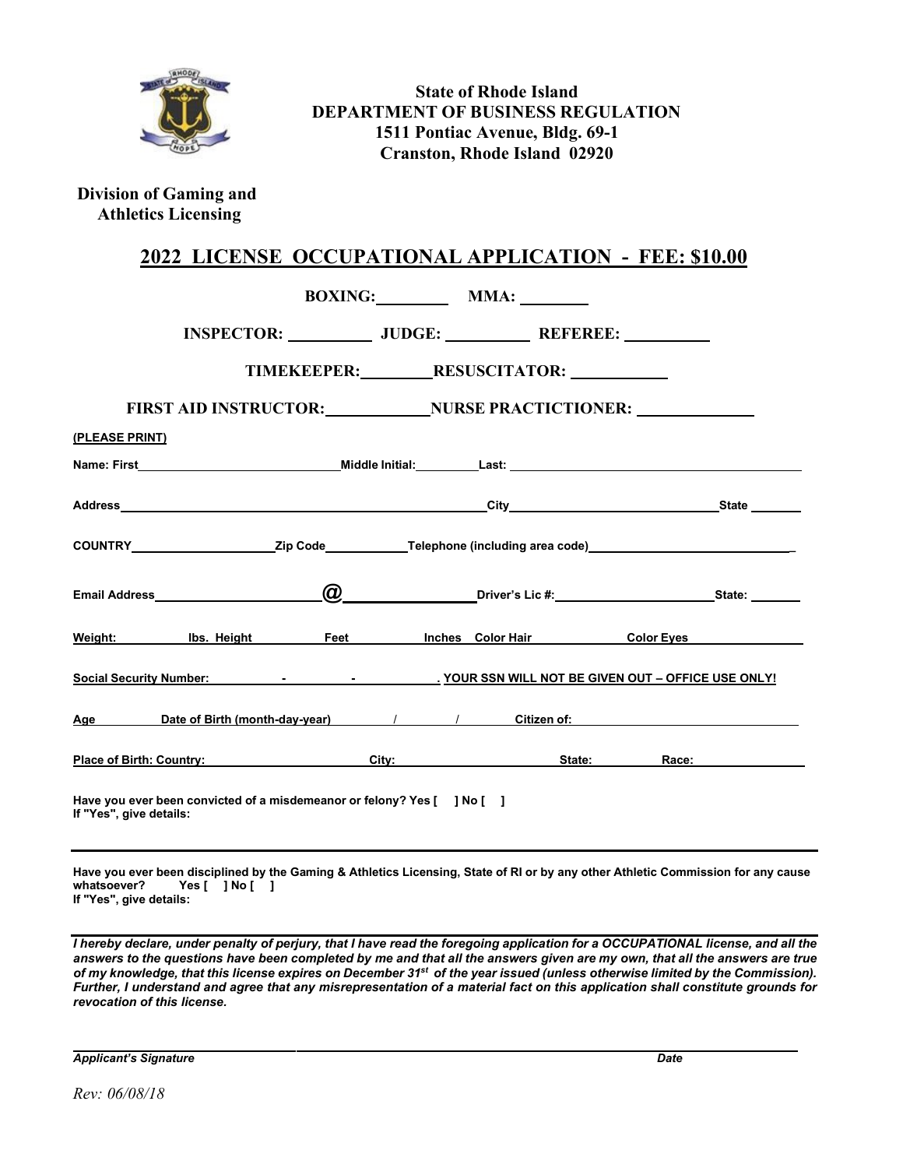

**State of Rhode Island DEPARTMENT OF BUSINESS REGULATION 1511 Pontiac Avenue, Bldg. 69-1 Cranston, Rhode Island 02920**

**Division of Gaming and Athletics Licensing**

## **2022 LICENSE OCCUPATIONAL APPLICATION - FEE: \$10.00**

|                                                                                                           |                                                                                                                 |                           |                                          |  | BOXING: MMA: |                      |  |                                                                                                                                                                                                                                |
|-----------------------------------------------------------------------------------------------------------|-----------------------------------------------------------------------------------------------------------------|---------------------------|------------------------------------------|--|--------------|----------------------|--|--------------------------------------------------------------------------------------------------------------------------------------------------------------------------------------------------------------------------------|
|                                                                                                           | INSPECTOR: _______________ JUDGE: ______________ REFEREE: ___________                                           |                           |                                          |  |              |                      |  |                                                                                                                                                                                                                                |
|                                                                                                           |                                                                                                                 | TIMEKEEPER: RESUSCITATOR: |                                          |  |              |                      |  |                                                                                                                                                                                                                                |
|                                                                                                           | FIRST AID INSTRUCTOR: NURSE PRACTICTIONER:                                                                      |                           |                                          |  |              |                      |  |                                                                                                                                                                                                                                |
| (PLEASE PRINT)                                                                                            |                                                                                                                 |                           |                                          |  |              |                      |  |                                                                                                                                                                                                                                |
|                                                                                                           |                                                                                                                 |                           |                                          |  |              |                      |  |                                                                                                                                                                                                                                |
|                                                                                                           |                                                                                                                 |                           |                                          |  |              |                      |  |                                                                                                                                                                                                                                |
|                                                                                                           |                                                                                                                 |                           |                                          |  |              |                      |  |                                                                                                                                                                                                                                |
|                                                                                                           |                                                                                                                 |                           | <u>(a)</u> Driver's Lic #: State: State: |  |              |                      |  |                                                                                                                                                                                                                                |
|                                                                                                           | <u>Weight: Ibs. Height Feet Inches Color Hair Color Eyes</u>                                                    |                           |                                          |  |              |                      |  |                                                                                                                                                                                                                                |
| Social Security Number: National According to the Control of SSN WILL NOT BE GIVEN OUT - OFFICE USE ONLY! |                                                                                                                 |                           |                                          |  |              |                      |  |                                                                                                                                                                                                                                |
|                                                                                                           | Age Date of Birth (month-day-year) / / Citizen of: Call Content Content Content Content Content Content Content |                           |                                          |  |              |                      |  |                                                                                                                                                                                                                                |
|                                                                                                           | Place of Birth: Country: Call City:                                                                             |                           |                                          |  |              | State: <b>State:</b> |  | Race: the contract of the contract of the contract of the contract of the contract of the contract of the contract of the contract of the contract of the contract of the contract of the contract of the contract of the cont |
| Have you ever been convicted of a misdemeanor or felony? Yes [ ] No [ ]<br>If "Yes", give details:        |                                                                                                                 |                           |                                          |  |              |                      |  |                                                                                                                                                                                                                                |

**Have you ever been disciplined by the Gaming & Athletics Licensing, State of RI or by any other Athletic Commission for any cause whatsoever? Yes [ ] No [ ] If "Yes", give details:**

I hereby declare, under penalty of perjury, that I have read the foregoing application for a OCCUPATIONAL license, and all the answers to the questions have been completed by me and that all the answers given are my own, that all the answers are true of my knowledge, that this license expires on December 31<sup>st</sup> of the year issued (unless otherwise limited by the Commission). *Further, I understand and agree that any misrepresentation of a material fact on this application shall constitute grounds for revocation of this license.*

*Applicant's Signature Date*